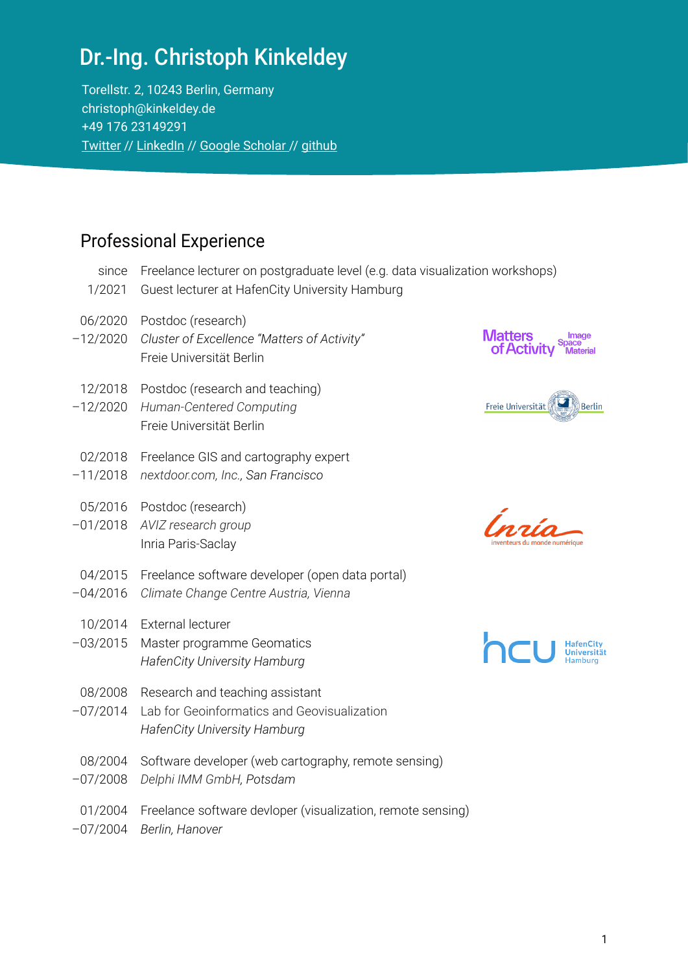Torellstr. 2, 10243 Berlin, Germany christoph@kinkeldey.de +49 176 23149291 [Twitter](https://twitter.com/geovisual) // [LinkedIn](https://de.linkedin.com/in/christoph-kinkeldey-a858b0a0) // [Google Scholar](https://scholar.google.de/citations?user=eP9T1cYAAAAJ&hl=en) // [github](https://github.com/ckinkeldey)

#### Professional Experience

- since Freelance lecturer on postgraduate level (e.g. data visualization workshops)
- 1/2021 Guest lecturer at HafenCity University Hamburg
- 06/2020 Postdoc (research)
- –12/2020 *Cluster of Excellence "Matters of Activity"* Freie Universität Berlin
- 12/2018 Postdoc (research and teaching)
- –12/2020 *Human-Centered Computing* Freie Universität Berlin
- 02/2018 Freelance GIS and cartography expert
- –11/2018 *nextdoor.com, Inc., San Francisco*
- 05/2016 Postdoc (research)
- –01/2018 *AVIZ research group* Inria Paris-Saclay
- 04/2015 Freelance software developer (open data portal)
- –04/2016 *Climate Change Centre Austria, Vienna*
- 10/2014 External lecturer
- –03/2015 Master programme Geomatics *HafenCity University Hamburg*
- 08/2008 Research and teaching assistant
- –07/2014 Lab for Geoinformatics and Geovisualization *HafenCity University Hamburg*
- 08/2004 Software developer (web cartography, remote sensing)
- –07/2008 *Delphi IMM GmbH, Potsdam*
- 01/2004 Freelance software devloper (visualization, remote sensing)
- –07/2004 *Berlin, Hanover*







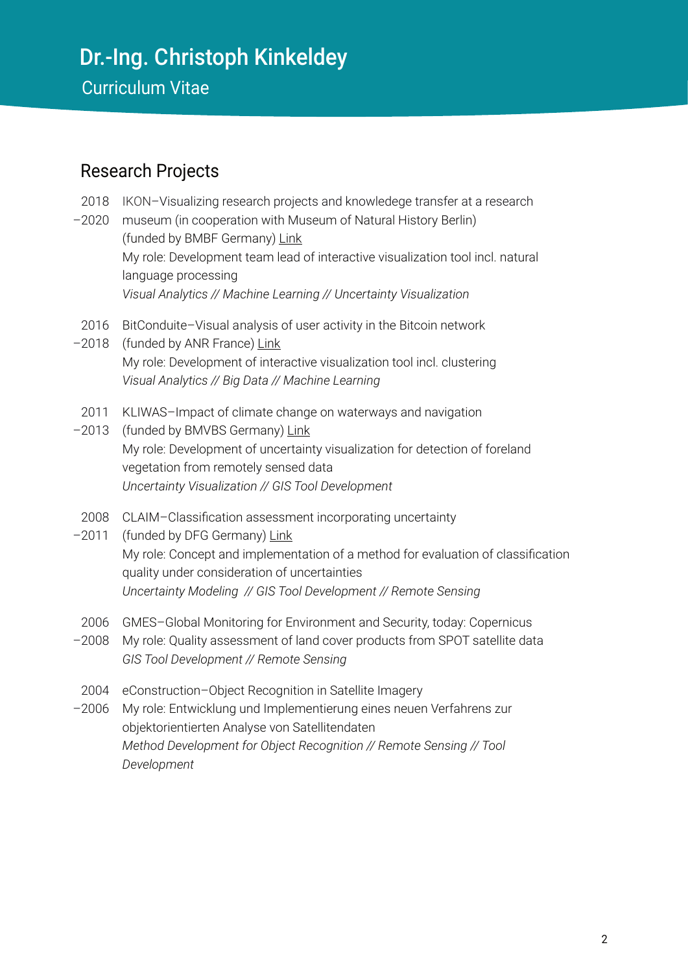## Dr.-Ing. Christoph Kinkeldey Curriculum Vitae

#### Research Projects

- 2018 IKON–Visualizing research projects and knowledege transfer at a research
- –2020 museum (in cooperation with Museum of Natural History Berlin) (funded by BMBF Germany) [Link](https://fub-hcc.github.io/IKON/) My role: Development team lead of interactive visualization tool incl. natural language processing *Visual Analytics // Machine Learning // Uncertainty Visualization*
- 2016 BitConduite–Visual analysis of user activity in the Bitcoin network
- -2018 (funded by ANR France) [Link](https://aviz.fr/Research/BitConduite) My role: Development of interactive visualization tool incl. clustering *Visual Analytics // Big Data // Machine Learning*
- 2011 KLIWAS–Impact of climate change on waterways and navigation
- -2013 (funded by BMVBS Germany) [Link](http://www.geomatik-hamburg.de/g2lab/research-kliwas.html) My role: Development of uncertainty visualization for detection of foreland vegetation from remotely sensed data *Uncertainty Visualization // GIS Tool Development*
- 2008 CLAIM–Classification assessment incorporating uncertainty
- -2011 (funded by DFG Germany) [Link](http://www.geomatik-hamburg.de/g2lab/research-claim.html) My role: Concept and implementation of a method for evaluation of classification quality under consideration of uncertainties *Uncertainty Modeling // GIS Tool Development // Remote Sensing*
- 2006 GMES–Global Monitoring for Environment and Security, today: Copernicus
- –2008 My role: Quality assessment of land cover products from SPOT satellite data *GIS Tool Development // Remote Sensing*
- 2004 eConstruction–Object Recognition in Satellite Imagery
- –2006 My role: Entwicklung und Implementierung eines neuen Verfahrens zur objektorientierten Analyse von Satellitendaten *Method Development for Object Recognition // Remote Sensing // Tool Development*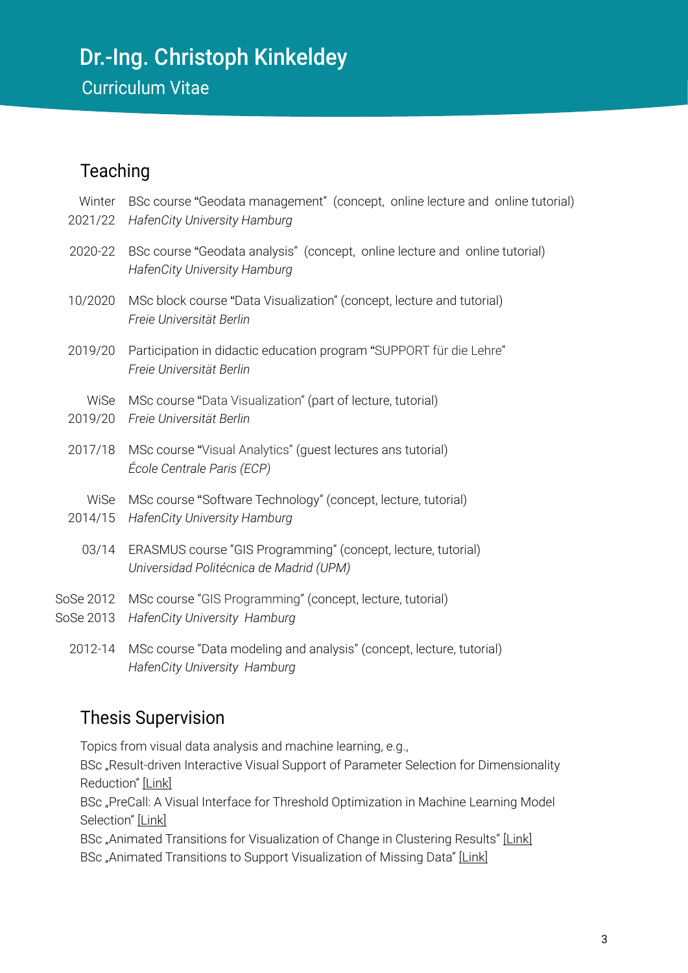Curriculum Vitae

#### **Teaching**

| Winter<br>2021/22      | BSc course "Geodata management" (concept, online lecture and online tutorial)<br><b>HafenCity University Hamburg</b> |
|------------------------|----------------------------------------------------------------------------------------------------------------------|
| 2020-22                | BSc course "Geodata analysis" (concept, online lecture and online tutorial)<br>HafenCity University Hamburg          |
| 10/2020                | MSc block course "Data Visualization" (concept, lecture and tutorial)<br>Freie Universität Berlin                    |
| 2019/20                | Participation in didactic education program "SUPPORT für die Lehre"<br>Freie Universität Berlin                      |
| WiSe<br>2019/20        | MSc course "Data Visualization" (part of lecture, tutorial)<br>Freie Universität Berlin                              |
| 2017/18                | MSc course "Visual Analytics" (guest lectures ans tutorial)<br>École Centrale Paris (ECP)                            |
| WiSe<br>2014/15        | MSc course "Software Technology" (concept, lecture, tutorial)<br>HafenCity University Hamburg                        |
| 03/14                  | ERASMUS course "GIS Programming" (concept, lecture, tutorial)<br>Universidad Politécnica de Madrid (UPM)             |
| SoSe 2012<br>SoSe 2013 | MSc course "GIS Programming" (concept, lecture, tutorial)<br>HafenCity University Hamburg                            |
| 2012-14                | MSc course "Data modeling and analysis" (concept, lecture, tutorial)<br>HafenCity University Hamburg                 |

#### Thesis Supervision

Topics from visual data analysis and machine learning, e.g.,

BSc "Result-driven Interactive Visual Support of Parameter Selection for Dimensionality Reduction" [\[Link\]](https://refubium.fu-berlin.de/bitstream/handle/fub188/28255/thesis_publication-lilli_joppien.pdf?sequence=4&isAllowed=y)

BSc "PreCall: A Visual Interface for Threshold Optimization in Machine Learning Model Selection" [\[Link\]](https://export.arxiv.org/pdf/1907.05131)

BSc "Animated Transitions for Visualization of Change in Clustering Results" [\[Link\]](https://www.mi.fu-berlin.de/en/inf/groups/hcc/theses/finished/2019-Theses/animierte_transitionen_fuer_die_visualisierung_von_veraenderungen_in_clustering-ergebnissen/2019_BA_Camara.pdf) BSc "Animated Transitions to Support Visualization of Missing Data" [\[Link\]](https://www.mi.fu-berlin.de/en/inf/groups/hcc/theses/finished/2019-Theses/animated-transitions-to-support-visualization-of-missing-data/2019_BA_Tschiersch.pdf)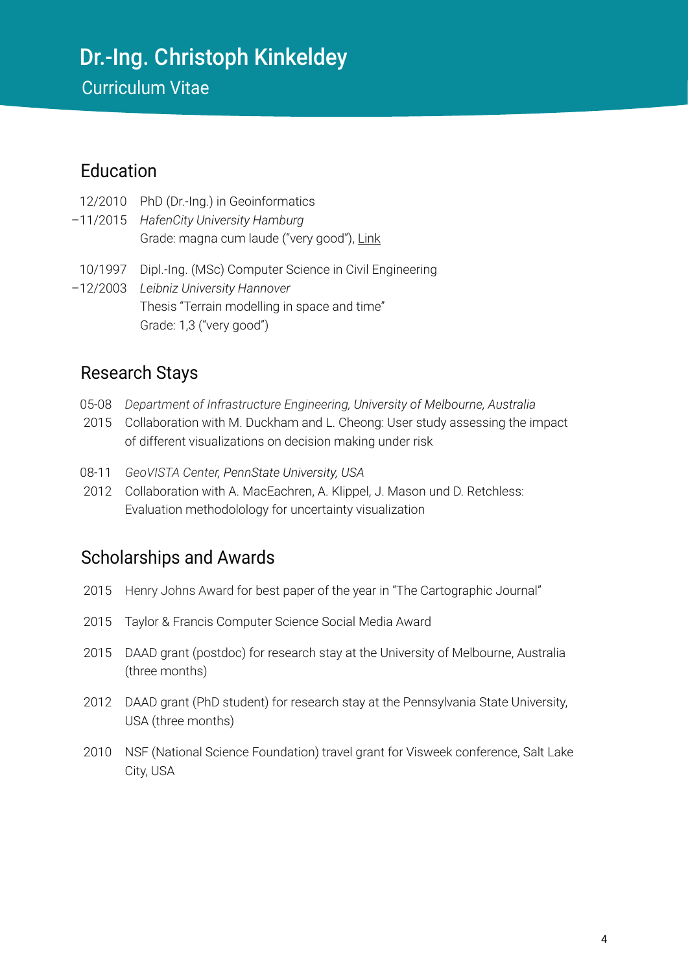Curriculum Vitae

#### Education

- 12/2010 PhD (Dr.-Ing.) in Geoinformatics
- –11/2015 *HafenCity University Hamburg* Grade: magna cum laude ("very good"), [Link](https://edoc.sub.uni-hamburg.de/hcu/volltexte/2015/248/)
- 10/1997 Dipl.-Ing. (MSc) Computer Science in Civil Engineering
- –12/2003 *Leibniz University Hannover* Thesis "Terrain modelling in space and time" Grade: 1,3 ("very good")

#### Research Stays

- 05-08 *Department of Infrastructure Engineering, University of Melbourne, Australia*
- 2015 Collaboration with M. Duckham and L. Cheong: User study assessing the impact of different visualizations on decision making under risk
- 08-11 *GeoVISTA Center, PennState University, USA*
- 2012 Collaboration with A. MacEachren, A. Klippel, J. Mason und D. Retchless: Evaluation methodolology for uncertainty visualization

#### Scholarships and Awards

- 2015 Henry Johns Award for best paper of the year in "The Cartographic Journal"
- 2015 Taylor & Francis Computer Science Social Media Award
- 2015 DAAD grant (postdoc) for research stay at the University of Melbourne, Australia (three months)
- 2012 DAAD grant (PhD student) for research stay at the Pennsylvania State University, USA (three months)
- 2010 NSF (National Science Foundation) travel grant for Visweek conference, Salt Lake City, USA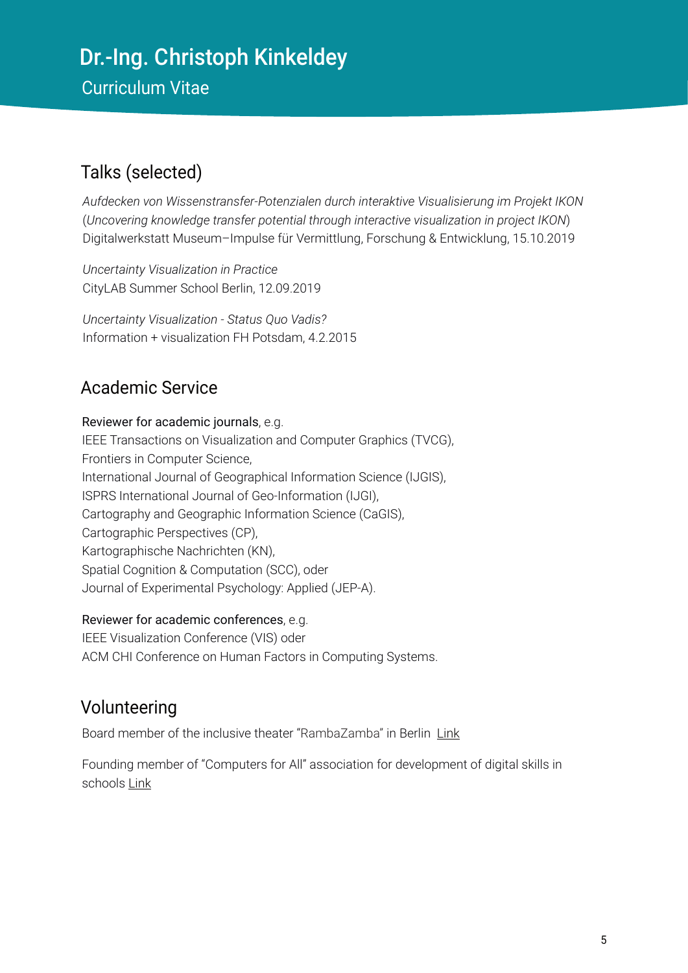Curriculum Vitae

#### Talks (selected)

*Aufdecken von Wissenstransfer-Potenzialen durch interaktive Visualisierung im Projekt IKON* (*Uncovering knowledge transfer potential through interactive visualization in project IKON*) Digitalwerkstatt Museum–Impulse für Vermittlung, Forschung & Entwicklung, 15.10.2019

*Uncertainty Visualization in Practice* CityLAB Summer School Berlin, 12.09.2019

*Uncertainty Visualization - Status Quo Vadis?* Information + visualization FH Potsdam, 4.2.2015

#### Academic Service

#### Reviewer for academic journals, e.g.

IEEE Transactions on Visualization and Computer Graphics (TVCG), Frontiers in Computer Science, International Journal of Geographical Information Science (IJGIS), ISPRS International Journal of Geo-Information (IJGI), Cartography and Geographic Information Science (CaGIS), Cartographic Perspectives (CP), Kartographische Nachrichten (KN), Spatial Cognition & Computation (SCC), oder Journal of Experimental Psychology: Applied (JEP-A).

#### Reviewer for academic conferences, e.g.

IEEE Visualization Conference (VIS) oder ACM CHI Conference on Human Factors in Computing Systems.

#### Volunteering

Board member of the inclusive theater "RambaZamba" in Berlin [Link](https://rambazamba-theater.de/leitung-mitarbeiter/)

Founding member of "Computers for All" association for development of digital skills in schools [Link](https://computersforall.de/)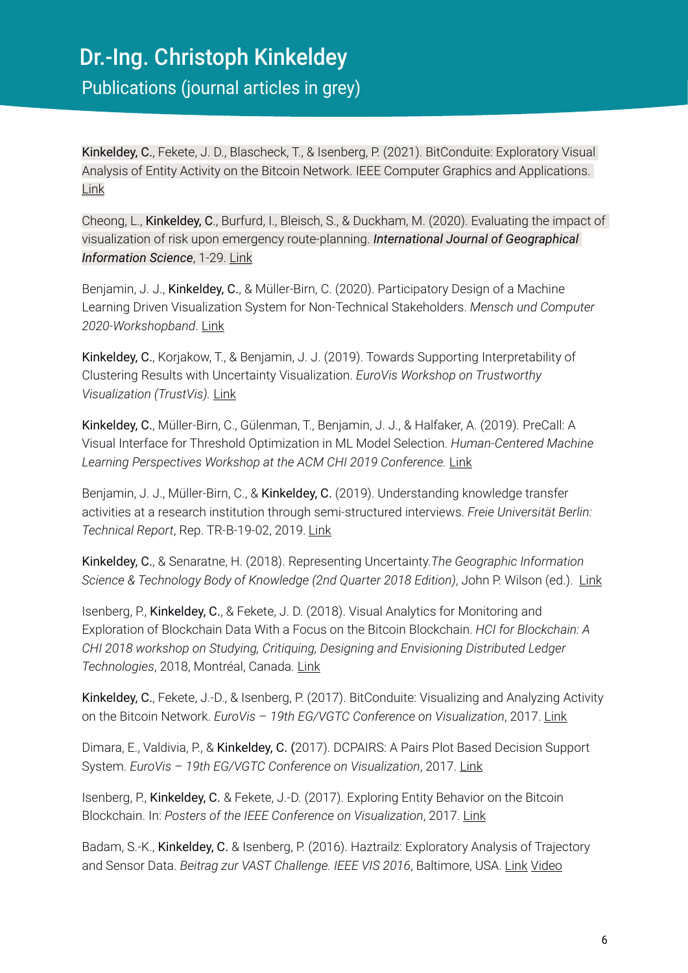Kinkeldey, C., Fekete, J. D., Blascheck, T., & Isenberg, P. (2021). BitConduite: Exploratory Visual Analysis of Entity Activity on the Bitcoin Network. IEEE Computer Graphics and Applications. [Link](https://doi.org/10.1109/MCG.2021.3070303)

Cheong, L., Kinkeldey, C., Burfurd, I., Bleisch, S., & Duckham, M. (2020). Evaluating the impact of visualization of risk upon emergency route-planning. *International Journal of Geographical Information Science*, 1-29. [Link](https://doi.org/10.1080/13658816.2019.1701677)

Benjamin, J. J., Kinkeldey, C., & Müller-Birn, C. (2020). Participatory Design of a Machine Learning Driven Visualization System for Non-Technical Stakeholders. *Mensch und Computer 2020-Workshopband*. [Link](https://www.dropbox.com/s/lfgus777miqjqcb/Benjamin_etal-2020.pdf?dl=0)

Kinkeldey, C., Korjakow, T., & Benjamin, J. J. (2019). Towards Supporting Interpretability of Clustering Results with Uncertainty Visualization. *EuroVis Workshop on Trustworthy Visualization (TrustVis).* [Link](https://doi.org/10.2312/trvis.20191183)

Kinkeldey, C., Müller-Birn, C., Gülenman, T., Benjamin, J. J., & Halfaker, A. (2019). PreCall: A Visual Interface for Threshold Optimization in ML Model Selection. *Human-Centered Machine Learning Perspectives Workshop at the ACM CHI 2019 Conference.* [Link](https://arxiv.org/abs/1907.05131v1)

Benjamin, J. J., Müller-Birn, C., & Kinkeldey, C. (2019). Understanding knowledge transfer activities at a research institution through semi-structured interviews. *Freie Universität Berlin: Technical Report*, Rep. TR-B-19-02, 2019. [Link](http://dx.doi.org/10.17169/refubium-3970)

Kinkeldey, C., & Senaratne, H. (2018). Representing Uncertainty.*The Geographic Information Science & Technology Body of Knowledge (2nd Quarter 2018 Edition)*, John P. Wilson (ed.). [Link](https://gistbok.ucgis.org/bok-topics/representing-uncertainty)

Isenberg, P., Kinkeldey, C., & Fekete, J. D. (2018). Visual Analytics for Monitoring and Exploration of Blockchain Data With a Focus on the Bitcoin Blockchain. *HCI for Blockchain: A CHI 2018 workshop on Studying, Critiquing, Designing and Envisioning Distributed Ledger Technologies*, 2018, Montréal, Canada. [Link](https://hal.inria.fr/hal-01950934)

Kinkeldey, C., Fekete, J.-D., & Isenberg, P. (2017). BitConduite: Visualizing and Analyzing Activity on the Bitcoin Network. *EuroVis* – *19th EG/VGTC Conference on Visualization*, 2017. [Link](https://hal.inria.fr/hal-01528605)

Dimara, E., Valdivia, P., & Kinkeldey, C. (2017). DCPAIRS: A Pairs Plot Based Decision Support System. *EuroVis – 19th EG/VGTC Conference on Visualization*, 2017. [Link](https://hal.inria.fr/hal-01516470)

Isenberg, P., Kinkeldey, C. & Fekete, J.-D. (2017). Exploring Entity Behavior on the Bitcoin Blockchain. In: *Posters of the IEEE Conference on Visualization*, 2017. [Link](https://hal.inria.fr/hal-01658500/)

Badam, S.-K., Kinkeldey, C. & Isenberg, P. (2016). Haztrailz: Exploratory Analysis of Trajectory and Sensor Data. *Beitrag zur VAST Challenge. IEEE VIS 2016*, Baltimore, USA. [Link](https://hal.inria.fr/hal-01397007/) [Video](https://www.dropbox.com/s/djnpq6i7ir2a9z9/vast2016-mc2.mp4?dl=0)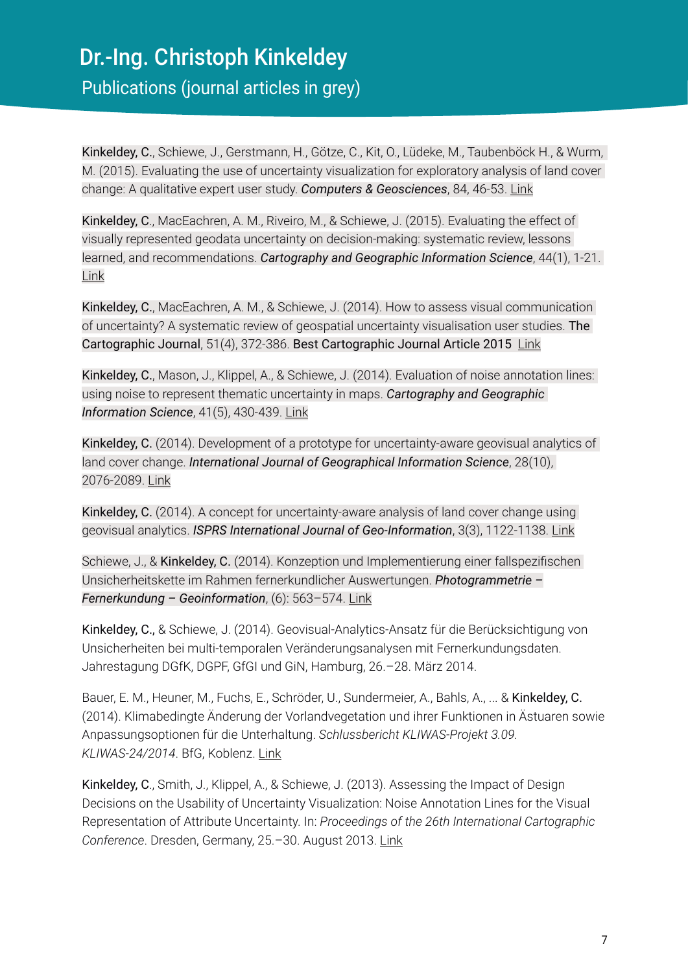Publications (journal articles in grey)

Kinkeldey, C., Schiewe, J., Gerstmann, H., Götze, C., Kit, O., Lüdeke, M., Taubenböck H., & Wurm, M. (2015). Evaluating the use of uncertainty visualization for exploratory analysis of land cover change: A qualitative expert user study. *Computers & Geosciences*, 84, 46-53. [Link](https://doi.org/10.1016/j.cageo.2015.08.007)

Kinkeldey, C., MacEachren, A. M., Riveiro, M., & Schiewe, J. (2015). Evaluating the effect of visually represented geodata uncertainty on decision-making: systematic review, lessons learned, and recommendations. *Cartography and Geographic Information Science*, 44(1), 1-21. [Link](https://doi.org/10.1080/15230406.2015.1089792)

Kinkeldey, C., MacEachren, A. M., & Schiewe, J. (2014). How to assess visual communication of uncertainty? A systematic review of geospatial uncertainty visualisation user studies. The Cartographic Journal, 51(4), 372-386. Best Cartographic Journal Article 2015 [Link](https://doi.org/10.1179/1743277414Y.0000000099)

Kinkeldey, C., Mason, J., Klippel, A., & Schiewe, J. (2014). Evaluation of noise annotation lines: using noise to represent thematic uncertainty in maps. *Cartography and Geographic Information Science*, 41(5), 430-439. [Link](https://doi.org/10.1080/15230406.2014.949868)

Kinkeldey, C. (2014). Development of a prototype for uncertainty-aware geovisual analytics of land cover change. *International Journal of Geographical Information Science*, 28(10), 2076-2089. [Link](https://doi.org/10.1080/13658816.2014.891037)

Kinkeldey, C. (2014). A concept for uncertainty-aware analysis of land cover change using geovisual analytics. *ISPRS International Journal of Geo-Information*, 3(3), 1122-1138. [Link](https://doi.org/10.3390/ijgi3031122)

Schiewe, J., & Kinkeldey, C. (2014). Konzeption und Implementierung einer fallspezifischen Unsicherheitskette im Rahmen fernerkundlicher Auswertungen. *Photogrammetrie – Fernerkundung – Geoinformation*, (6): 563–574. [Link](https://doi.org/10.1127/1432-8364/2013/0198)

Kinkeldey, C., & Schiewe, J. (2014). Geovisual-Analytics-Ansatz für die Berücksichtigung von Unsicherheiten bei multi-temporalen Veränderungsanalysen mit Fernerkundungsdaten. Jahrestagung DGfK, DGPF, GfGI und GiN, Hamburg, 26.–28. März 2014.

Bauer, E. M., Heuner, M., Fuchs, E., Schröder, U., Sundermeier, A., Bahls, A., ... & Kinkeldey, C. (2014). Klimabedingte Änderung der Vorlandvegetation und ihrer Funktionen in Ästuaren sowie Anpassungsoptionen für die Unterhaltung. *Schlussbericht KLIWAS-Projekt 3.09. KLIWAS-24/2014*. BfG, Koblenz. [Link](https://hdl.handle.net/20.500.11970/105377)

Kinkeldey, C., Smith, J., Klippel, A., & Schiewe, J. (2013). Assessing the Impact of Design Decisions on the Usability of Uncertainty Visualization: Noise Annotation Lines for the Visual Representation of Attribute Uncertainty. In: *Proceedings of the 26th International Cartographic Conference*. Dresden, Germany, 25.–30. August 2013. [Link](https://icaci.org/files/documents/ICC_proceedings/ICC2013/_extendedAbstract/400_proceeding.pdf)